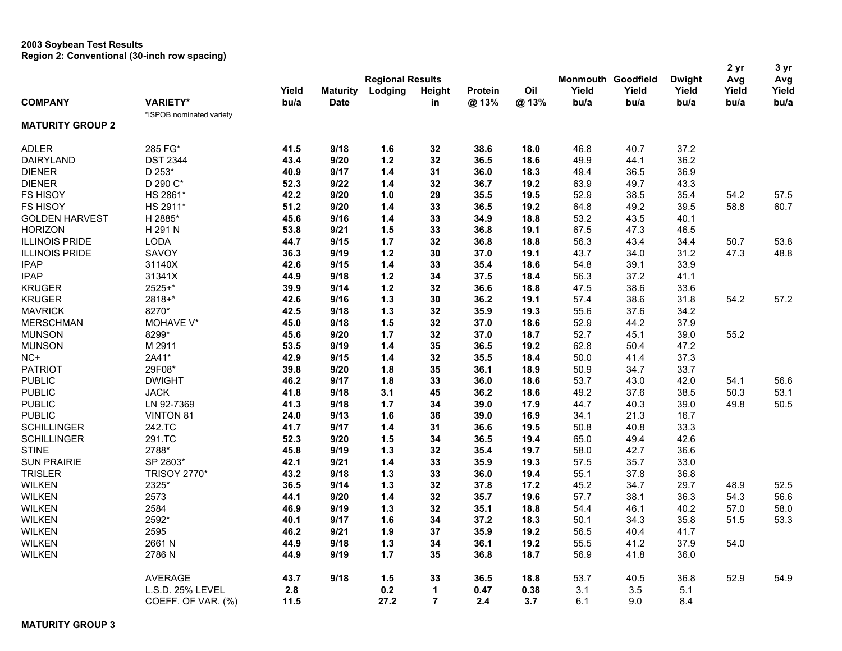## **2003 Soybean Test Results Region 2: Conventional (30-inch row spacing)**

|                         |                          |       |                 |                         |                |                |      |       |                    |               | 2 yr  | 3 yr  |
|-------------------------|--------------------------|-------|-----------------|-------------------------|----------------|----------------|------|-------|--------------------|---------------|-------|-------|
|                         |                          |       |                 | <b>Regional Results</b> |                |                |      |       | Monmouth Goodfield | <b>Dwight</b> | Avg   | Avg   |
|                         |                          | Yield | <b>Maturity</b> | Lodging                 | Height         | <b>Protein</b> | Oil  | Yield | Yield              | Yield         | Yield | Yield |
| <b>COMPANY</b>          | <b>VARIETY*</b>          | bu/a  | <b>Date</b>     |                         | in             | @13%           | @13% | bu/a  | bu/a               | bu/a          | bu/a  | bu/a  |
|                         | *ISPOB nominated variety |       |                 |                         |                |                |      |       |                    |               |       |       |
| <b>MATURITY GROUP 2</b> |                          |       |                 |                         |                |                |      |       |                    |               |       |       |
| <b>ADLER</b>            | 285 FG*                  | 41.5  | 9/18            | 1.6                     | 32             | 38.6           | 18.0 | 46.8  | 40.7               | 37.2          |       |       |
| <b>DAIRYLAND</b>        | <b>DST 2344</b>          | 43.4  | 9/20            | $1.2$                   | 32             | 36.5           | 18.6 | 49.9  | 44.1               | 36.2          |       |       |
| <b>DIENER</b>           | D 253*                   | 40.9  | 9/17            | $1.4$                   | 31             | 36.0           | 18.3 | 49.4  | 36.5               | 36.9          |       |       |
| <b>DIENER</b>           | D 290 C*                 | 52.3  | 9/22            | 1.4                     | 32             | 36.7           | 19.2 | 63.9  | 49.7               | 43.3          |       |       |
| FS HISOY                | HS 2861*                 | 42.2  | 9/20            | 1.0                     | 29             | 35.5           | 19.5 | 52.9  | 38.5               | 35.4          | 54.2  | 57.5  |
| FS HISOY                | HS 2911*                 | 51.2  | 9/20            | 1.4                     | 33             | 36.5           | 19.2 | 64.8  | 49.2               | 39.5          | 58.8  | 60.7  |
| <b>GOLDEN HARVEST</b>   | H 2885*                  | 45.6  | 9/16            | 1.4                     | 33             | 34.9           | 18.8 | 53.2  | 43.5               | 40.1          |       |       |
| <b>HORIZON</b>          | H 291 N                  | 53.8  | 9/21            | 1.5                     | 33             | 36.8           | 19.1 | 67.5  | 47.3               | 46.5          |       |       |
| <b>ILLINOIS PRIDE</b>   | <b>LODA</b>              | 44.7  | 9/15            | 1.7                     | 32             | 36.8           | 18.8 | 56.3  | 43.4               | 34.4          | 50.7  | 53.8  |
| <b>ILLINOIS PRIDE</b>   | <b>SAVOY</b>             | 36.3  | 9/19            | $1.2$                   | 30             | 37.0           | 19.1 | 43.7  | 34.0               | 31.2          | 47.3  | 48.8  |
| <b>IPAP</b>             | 31140X                   | 42.6  | 9/15            | $1.4$                   | 33             | 35.4           | 18.6 | 54.8  | 39.1               | 33.9          |       |       |
| <b>IPAP</b>             | 31341X                   | 44.9  | 9/18            | $1.2$                   | 34             | 37.5           | 18.4 | 56.3  | 37.2               | 41.1          |       |       |
| <b>KRUGER</b>           | 2525+*                   | 39.9  | 9/14            | $1.2$                   | 32             | 36.6           | 18.8 | 47.5  | 38.6               | 33.6          |       |       |
| <b>KRUGER</b>           | 2818+*                   | 42.6  | 9/16            | 1.3                     | 30             | 36.2           | 19.1 | 57.4  | 38.6               | 31.8          | 54.2  | 57.2  |
| <b>MAVRICK</b>          | 8270*                    | 42.5  | 9/18            | 1.3                     | 32             | 35.9           | 19.3 | 55.6  | 37.6               | 34.2          |       |       |
| <b>MERSCHMAN</b>        | MOHAVE V*                | 45.0  | 9/18            | 1.5                     | 32             | 37.0           | 18.6 | 52.9  | 44.2               | 37.9          |       |       |
| <b>MUNSON</b>           | 8299*                    | 45.6  | 9/20            | 1.7                     | 32             | 37.0           | 18.7 | 52.7  | 45.1               | 39.0          | 55.2  |       |
| <b>MUNSON</b>           | M 2911                   | 53.5  | 9/19            | 1.4                     | 35             | 36.5           | 19.2 | 62.8  | 50.4               | 47.2          |       |       |
| NC+                     | 2A41*                    | 42.9  | 9/15            | $1.4$                   | 32             | 35.5           | 18.4 | 50.0  | 41.4               | 37.3          |       |       |
| <b>PATRIOT</b>          | 29F08*                   | 39.8  | 9/20            | 1.8                     | 35             | 36.1           | 18.9 | 50.9  | 34.7               | 33.7          |       |       |
| <b>PUBLIC</b>           | <b>DWIGHT</b>            | 46.2  | 9/17            | 1.8                     | 33             | 36.0           | 18.6 | 53.7  | 43.0               | 42.0          | 54.1  | 56.6  |
| <b>PUBLIC</b>           | <b>JACK</b>              | 41.8  | 9/18            | 3.1                     | 45             | 36.2           | 18.6 | 49.2  | 37.6               | 38.5          | 50.3  | 53.1  |
|                         | LN 92-7369               |       |                 | 1.7                     |                |                | 17.9 |       | 40.3               |               |       | 50.5  |
| <b>PUBLIC</b>           |                          | 41.3  | 9/18            |                         | 34             | 39.0           |      | 44.7  |                    | 39.0          | 49.8  |       |
| <b>PUBLIC</b>           | VINTON 81                | 24.0  | 9/13            | 1.6                     | 36             | 39.0           | 16.9 | 34.1  | 21.3               | 16.7          |       |       |
| <b>SCHILLINGER</b>      | 242.TC                   | 41.7  | 9/17            | 1.4                     | 31             | 36.6           | 19.5 | 50.8  | 40.8               | 33.3          |       |       |
| <b>SCHILLINGER</b>      | 291.TC                   | 52.3  | 9/20            | 1.5                     | 34             | 36.5           | 19.4 | 65.0  | 49.4               | 42.6          |       |       |
| <b>STINE</b>            | 2788*                    | 45.8  | 9/19            | 1.3                     | 32             | 35.4           | 19.7 | 58.0  | 42.7               | 36.6          |       |       |
| <b>SUN PRAIRIE</b>      | SP 2803*                 | 42.1  | 9/21            | $1.4$                   | 33             | 35.9           | 19.3 | 57.5  | 35.7               | 33.0          |       |       |
| <b>TRISLER</b>          | <b>TRISOY 2770*</b>      | 43.2  | 9/18            | 1.3                     | 33             | 36.0           | 19.4 | 55.1  | 37.8               | 36.8          |       |       |
| <b>WILKEN</b>           | 2325*                    | 36.5  | 9/14            | $1.3$                   | 32             | 37.8           | 17.2 | 45.2  | 34.7               | 29.7          | 48.9  | 52.5  |
| <b>WILKEN</b>           | 2573                     | 44.1  | 9/20            | 1.4                     | 32             | 35.7           | 19.6 | 57.7  | 38.1               | 36.3          | 54.3  | 56.6  |
| <b>WILKEN</b>           | 2584                     | 46.9  | 9/19            | 1.3                     | 32             | 35.1           | 18.8 | 54.4  | 46.1               | 40.2          | 57.0  | 58.0  |
| <b>WILKEN</b>           | 2592*                    | 40.1  | 9/17            | 1.6                     | 34             | 37.2           | 18.3 | 50.1  | 34.3               | 35.8          | 51.5  | 53.3  |
| <b>WILKEN</b>           | 2595                     | 46.2  | 9/21            | 1.9                     | 37             | 35.9           | 19.2 | 56.5  | 40.4               | 41.7          |       |       |
| <b>WILKEN</b>           | 2661N                    | 44.9  | 9/18            | 1.3                     | 34             | 36.1           | 19.2 | 55.5  | 41.2               | 37.9          | 54.0  |       |
| <b>WILKEN</b>           | 2786 N                   | 44.9  | 9/19            | 1.7                     | 35             | 36.8           | 18.7 | 56.9  | 41.8               | 36.0          |       |       |
|                         | <b>AVERAGE</b>           | 43.7  | 9/18            | 1.5                     | 33             | 36.5           | 18.8 | 53.7  | 40.5               | 36.8          | 52.9  | 54.9  |
|                         | L.S.D. 25% LEVEL         | 2.8   |                 | 0.2                     | 1              | 0.47           | 0.38 | 3.1   | 3.5                | 5.1           |       |       |
|                         | COEFF. OF VAR. (%)       | 11.5  |                 | 27.2                    | $\overline{7}$ | 2.4            | 3.7  | 6.1   | 9.0                | 8.4           |       |       |